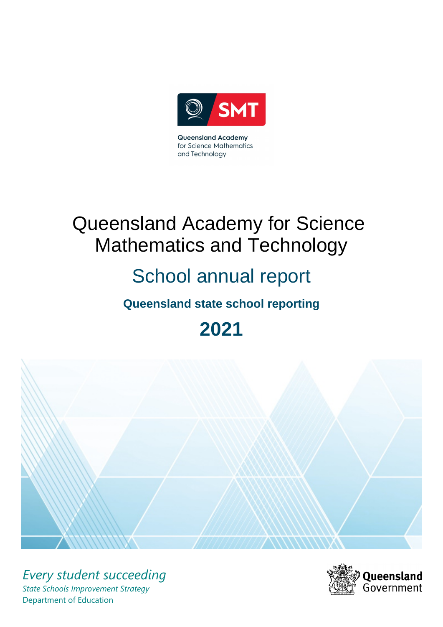

**Queensland Academy** for Science Mathematics and Technology

# Queensland Academy for Science Mathematics and Technology

# School annual report

# **Queensland state school reporting**

**2021**



*Every student succeeding State Schools Improvement Strategy* Department of Education

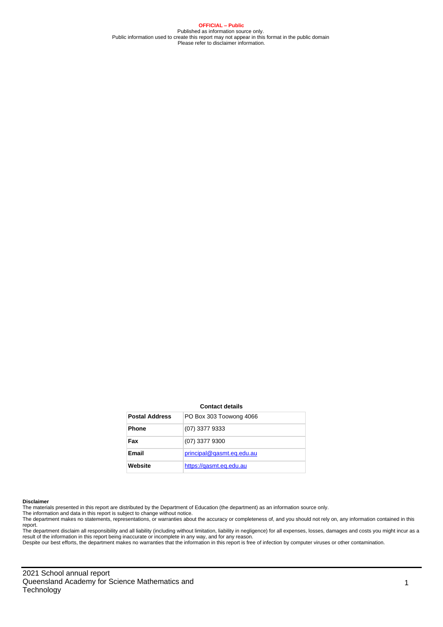**OFFICIAL – Public** Published as information source only. Public information used to create this report may not appear in this format in the public domain Please refer to disclaimer information.

#### **Contact details**

| <b>Postal Address</b> | PO Box 303 Toowong 4066   |
|-----------------------|---------------------------|
| <b>Phone</b>          | $(07)$ 3377 9333          |
| Fax                   | $(07)$ 3377 9300          |
| <b>Email</b>          | principal@gasmt.eg.edu.au |
| Website               | https://gasmt.eg.edu.au   |

#### **Disclaimer**

The materials presented in this report are distributed by the Department of Education (the department) as an information source only.

The information and data in this report is subject to change without notice.<br>The department makes no statements, representations, or warranties about the accuracy or completeness of, and you should not rely on, any informa report.

The department disclaim all responsibility and all liability (including without limitation, liability in negligence) for all expenses, losses, damages and costs you might incur as a result of the information in this report being inaccurate or incomplete in any way, and for any reason.

Despite our best efforts, the department makes no warranties that the information in this report is free of infection by computer viruses or other contamination.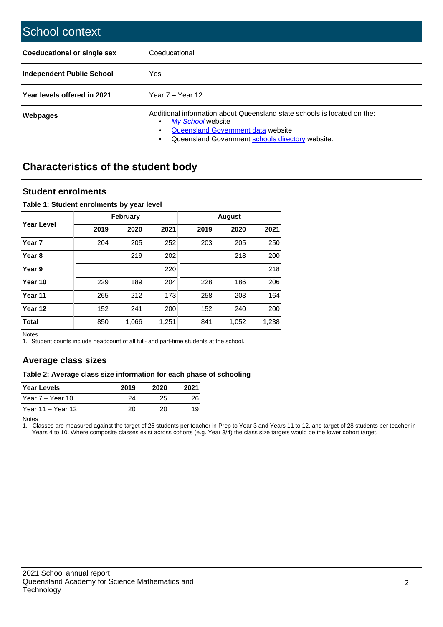| School context                   |                                                                                                                                                                                              |
|----------------------------------|----------------------------------------------------------------------------------------------------------------------------------------------------------------------------------------------|
| Coeducational or single sex      | Coeducational                                                                                                                                                                                |
| <b>Independent Public School</b> | <b>Yes</b>                                                                                                                                                                                   |
| Year levels offered in 2021      | Year $7 -$ Year 12                                                                                                                                                                           |
| Webpages                         | Additional information about Queensland state schools is located on the:<br>My School website<br>Queensland Government data website<br>Queensland Government schools directory website.<br>٠ |

# **Characteristics of the student body**

## **Student enrolments**

#### **Table 1: Student enrolments by year level**

|                   |      | <b>February</b> |       |      | <b>August</b> |       |
|-------------------|------|-----------------|-------|------|---------------|-------|
| <b>Year Level</b> | 2019 | 2020            | 2021  | 2019 | 2020          | 2021  |
| Year <sub>7</sub> | 204  | 205             | 252   | 203  | 205           | 250   |
| Year <sub>8</sub> |      | 219             | 202   |      | 218           | 200   |
| Year 9            |      |                 | 220   |      |               | 218   |
| Year 10           | 229  | 189             | 204   | 228  | 186           | 206   |
| Year 11           | 265  | 212             | 173   | 258  | 203           | 164   |
| Year 12           | 152  | 241             | 200   | 152  | 240           | 200   |
| <b>Total</b>      | 850  | 1,066           | 1,251 | 841  | 1,052         | 1,238 |

Notes

1. Student counts include headcount of all full- and part-time students at the school.

## **Average class sizes**

#### **Table 2: Average class size information for each phase of schooling**

| <b>Year Levels</b> | 2019 | 2020 | 2021 |
|--------------------|------|------|------|
| Year 7 - Year 10   | 24   | 25   | 26   |
| Year 11 – Year 12  | 20   | 20.  | 19   |

Notes

1. Classes are measured against the target of 25 students per teacher in Prep to Year 3 and Years 11 to 12, and target of 28 students per teacher in Years 4 to 10. Where composite classes exist across cohorts (e.g. Year 3/4) the class size targets would be the lower cohort target.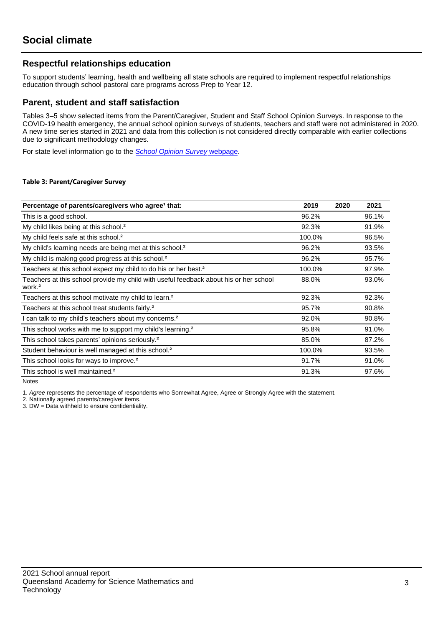## **Respectful relationships education**

To support students' learning, health and wellbeing all state schools are required to implement respectful relationships education through school pastoral care programs across Prep to Year 12.

### **Parent, student and staff satisfaction**

Tables 3–5 show selected items from the Parent/Caregiver, Student and Staff School Opinion Surveys. In response to the COVID-19 health emergency, the annual school opinion surveys of students, teachers and staff were not administered in 2020. A new time series started in 2021 and data from this collection is not considered directly comparable with earlier collections due to significant methodology changes.

For state level information go to the *[School Opinion Survey](https://qed.qld.gov.au/publications/reports/statistics/schooling/schools/schoolopinionsurvey)* [webpage.](https://qed.qld.gov.au/publications/reports/statistics/schooling/schools/schoolopinionsurvey)

#### **Table 3: Parent/Caregiver Survey**

| Percentage of parents/caregivers who agree <sup>1</sup> that:                                               | 2019   | 2020 | 2021  |
|-------------------------------------------------------------------------------------------------------------|--------|------|-------|
| This is a good school.                                                                                      | 96.2%  |      | 96.1% |
| My child likes being at this school. <sup>2</sup>                                                           | 92.3%  |      | 91.9% |
| My child feels safe at this school. <sup>2</sup>                                                            | 100.0% |      | 96.5% |
| My child's learning needs are being met at this school. <sup>2</sup>                                        | 96.2%  |      | 93.5% |
| My child is making good progress at this school. <sup>2</sup>                                               | 96.2%  |      | 95.7% |
| Teachers at this school expect my child to do his or her best. <sup>2</sup>                                 | 100.0% |      | 97.9% |
| Teachers at this school provide my child with useful feedback about his or her school<br>work. <sup>2</sup> | 88.0%  |      | 93.0% |
| Teachers at this school motivate my child to learn. <sup>2</sup>                                            | 92.3%  |      | 92.3% |
| Teachers at this school treat students fairly. <sup>2</sup>                                                 | 95.7%  |      | 90.8% |
| I can talk to my child's teachers about my concerns. <sup>2</sup>                                           | 92.0%  |      | 90.8% |
| This school works with me to support my child's learning. <sup>2</sup>                                      | 95.8%  |      | 91.0% |
| This school takes parents' opinions seriously. <sup>2</sup>                                                 | 85.0%  |      | 87.2% |
| Student behaviour is well managed at this school. <sup>2</sup>                                              | 100.0% |      | 93.5% |
| This school looks for ways to improve. <sup>2</sup>                                                         | 91.7%  |      | 91.0% |
| This school is well maintained. <sup>2</sup>                                                                | 91.3%  |      | 97.6% |

Notes

1. Agree represents the percentage of respondents who Somewhat Agree, Agree or Strongly Agree with the statement.

2. Nationally agreed parents/caregiver items.

3. DW = Data withheld to ensure confidentiality.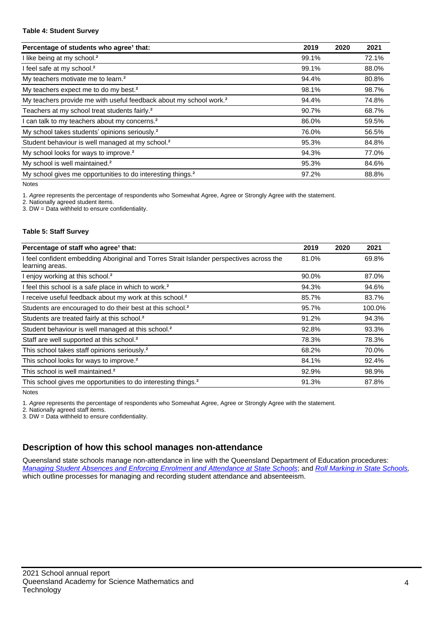#### **Table 4: Student Survey**

| Percentage of students who agree <sup>1</sup> that:                            | 2019  | 2020 | 2021  |
|--------------------------------------------------------------------------------|-------|------|-------|
| I like being at my school. <sup>2</sup>                                        | 99.1% |      | 72.1% |
| I feel safe at my school. <sup>2</sup>                                         | 99.1% |      | 88.0% |
| My teachers motivate me to learn. <sup>2</sup>                                 | 94.4% |      | 80.8% |
| My teachers expect me to do my best. <sup>2</sup>                              | 98.1% |      | 98.7% |
| My teachers provide me with useful feedback about my school work. <sup>2</sup> | 94.4% |      | 74.8% |
| Teachers at my school treat students fairly. <sup>2</sup>                      | 90.7% |      | 68.7% |
| I can talk to my teachers about my concerns. <sup>2</sup>                      | 86.0% |      | 59.5% |
| My school takes students' opinions seriously. <sup>2</sup>                     | 76.0% |      | 56.5% |
| Student behaviour is well managed at my school. <sup>2</sup>                   | 95.3% |      | 84.8% |
| My school looks for ways to improve. <sup>2</sup>                              | 94.3% |      | 77.0% |
| My school is well maintained. <sup>2</sup>                                     | 95.3% |      | 84.6% |
| My school gives me opportunities to do interesting things. <sup>2</sup>        | 97.2% |      | 88.8% |

Notes

1. Agree represents the percentage of respondents who Somewhat Agree, Agree or Strongly Agree with the statement.

2. Nationally agreed student items.

3. DW = Data withheld to ensure confidentiality.

#### **Table 5: Staff Survey**

| Percentage of staff who agree <sup>1</sup> that:                                                            | 2019  | 2020 | 2021   |
|-------------------------------------------------------------------------------------------------------------|-------|------|--------|
| I feel confident embedding Aboriginal and Torres Strait Islander perspectives across the<br>learning areas. | 81.0% |      | 69.8%  |
| I enjoy working at this school. <sup>2</sup>                                                                | 90.0% |      | 87.0%  |
| I feel this school is a safe place in which to work. <sup>2</sup>                                           | 94.3% |      | 94.6%  |
| I receive useful feedback about my work at this school. <sup>2</sup>                                        | 85.7% |      | 83.7%  |
| Students are encouraged to do their best at this school. <sup>2</sup>                                       | 95.7% |      | 100.0% |
| Students are treated fairly at this school. <sup>2</sup>                                                    | 91.2% |      | 94.3%  |
| Student behaviour is well managed at this school. <sup>2</sup>                                              | 92.8% |      | 93.3%  |
| Staff are well supported at this school. <sup>2</sup>                                                       | 78.3% |      | 78.3%  |
| This school takes staff opinions seriously. <sup>2</sup>                                                    | 68.2% |      | 70.0%  |
| This school looks for ways to improve. <sup>2</sup>                                                         | 84.1% |      | 92.4%  |
| This school is well maintained. <sup>2</sup>                                                                | 92.9% |      | 98.9%  |
| This school gives me opportunities to do interesting things. <sup>2</sup>                                   | 91.3% |      | 87.8%  |

Notes

1. Agree represents the percentage of respondents who Somewhat Agree, Agree or Strongly Agree with the statement.

2. Nationally agreed staff items.

3. DW = Data withheld to ensure confidentiality.

## **Description of how this school manages non-attendance**

Queensland state schools manage non-attendance in line with the Queensland Department of Education procedures: [Managing Student Absences and Enforcing Enrolment and Attendance at State Schools](https://ppr.qed.qld.gov.au/pp/managing-student-absences-and-enforcing-enrolment-and-attendance-at-state-schools-procedure); and [Roll Marking in State Schools,](https://ppr.qed.qld.gov.au/pp/roll-marking-in-state-schools-procedure) which outline processes for managing and recording student attendance and absenteeism.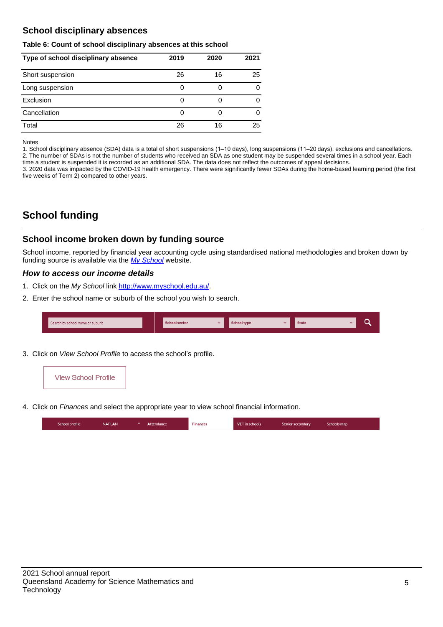## **School disciplinary absences**

#### **Table 6: Count of school disciplinary absences at this school**

| Type of school disciplinary absence | 2019 | 2020 | 2021 |
|-------------------------------------|------|------|------|
| Short suspension                    | 26   | 16   | 25   |
| Long suspension                     | 0    |      |      |
| Exclusion                           | 0    |      | 0    |
| Cancellation                        | 0    |      | 0    |
| Total                               | 26   | 16   | 25   |

Notes

1. School disciplinary absence (SDA) data is a total of short suspensions (1–10 days), long suspensions (11–20 days), exclusions and cancellations. 2. The number of SDAs is not the number of students who received an SDA as one student may be suspended several times in a school year. Each time a student is suspended it is recorded as an additional SDA. The data does not reflect the outcomes of appeal decisions.

3. 2020 data was impacted by the COVID-19 health emergency. There were significantly fewer SDAs during the home-based learning period (the first five weeks of Term 2) compared to other years.

# **School funding**

## **School income broken down by funding source**

School income, reported by financial year accounting cycle using standardised national methodologies and broken down by funding source is available via the [My School](http://www.myschool.edu.au/) website.

#### **How to access our income details**

- 1. Click on the My School link <http://www.myschool.edu.au/>.
- 2. Enter the school name or suburb of the school you wish to search.

| Search by school name or suburb | <b>School sector</b> | <b>School type</b> | <b>State</b> |  |
|---------------------------------|----------------------|--------------------|--------------|--|
|                                 |                      |                    |              |  |

3. Click on View School Profile to access the school's profile.



4. Click on Finances and select the appropriate year to view school financial information.

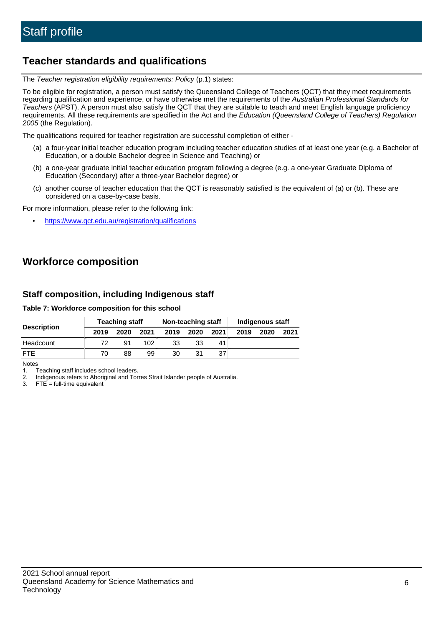# **Teacher standards and qualifications**

The Teacher registration eligibility requirements: Policy (p.1) states:

To be eligible for registration, a person must satisfy the Queensland College of Teachers (QCT) that they meet requirements regarding qualification and experience, or have otherwise met the requirements of the Australian Professional Standards for Teachers (APST). A person must also satisfy the QCT that they are suitable to teach and meet English language proficiency requirements. All these requirements are specified in the Act and the Education (Queensland College of Teachers) Regulation 2005 (the Regulation).

The qualifications required for teacher registration are successful completion of either -

- (a) a four-year initial teacher education program including teacher education studies of at least one year (e.g. a Bachelor of Education, or a double Bachelor degree in Science and Teaching) or
- (b) a one-year graduate initial teacher education program following a degree (e.g. a one-year Graduate Diploma of Education (Secondary) after a three-year Bachelor degree) or
- (c) another course of teacher education that the QCT is reasonably satisfied is the equivalent of (a) or (b). These are considered on a case-by-case basis.

For more information, please refer to the following link:

• <https://www.qct.edu.au/registration/qualifications>

# **Workforce composition**

## **Staff composition, including Indigenous staff**

#### **Table 7: Workforce composition for this school**

|                    | <b>Teaching staff</b> |      |      | Non-teaching staff |      |      | Indigenous staff |      |      |
|--------------------|-----------------------|------|------|--------------------|------|------|------------------|------|------|
| <b>Description</b> | 2019                  | 2020 | 2021 | 2019               | 2020 | 2021 | 2019             | 2020 | 2021 |
| Headcount          | 72                    | .91  | 102  | 33                 | 33   | 41   |                  |      |      |
| <b>FTE</b>         | 70                    | 88   | 99   | 30                 | 31   | 37   |                  |      |      |

Notes

1. Teaching staff includes school leaders.

2. Indigenous refers to Aboriginal and Torres Strait Islander people of Australia.

3. FTE = full-time equivalent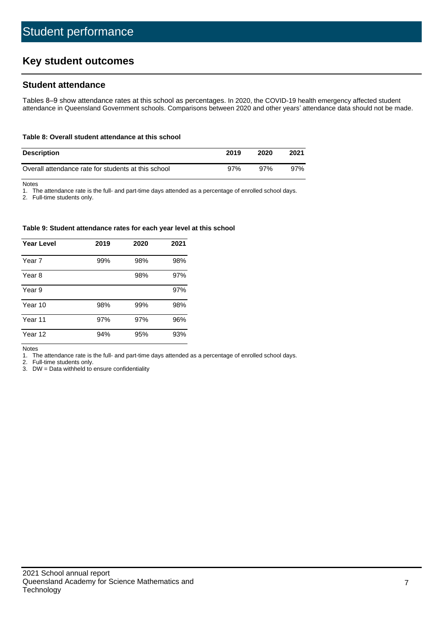# **Key student outcomes**

## **Student attendance**

Tables 8–9 show attendance rates at this school as percentages. In 2020, the COVID-19 health emergency affected student attendance in Queensland Government schools. Comparisons between 2020 and other years' attendance data should not be made.

#### **Table 8: Overall student attendance at this school**

| <b>Description</b>                                  | 2019 | 2020 | 2021 |
|-----------------------------------------------------|------|------|------|
| Overall attendance rate for students at this school | 97%  | 97%  | 97%  |

Notes

1. The attendance rate is the full- and part-time days attended as a percentage of enrolled school days.

2. Full-time students only.

#### **Table 9: Student attendance rates for each year level at this school**

| Year Level | 2019 | 2020 | 2021 |
|------------|------|------|------|
| Year 7     | 99%  | 98%  | 98%  |
| Year 8     |      | 98%  | 97%  |
| Year 9     |      |      | 97%  |
| Year 10    | 98%  | 99%  | 98%  |
| Year 11    | 97%  | 97%  | 96%  |
| Year 12    | 94%  | 95%  | 93%  |

Notes

1. The attendance rate is the full- and part-time days attended as a percentage of enrolled school days.

2. Full-time students only.

3. DW = Data withheld to ensure confidentiality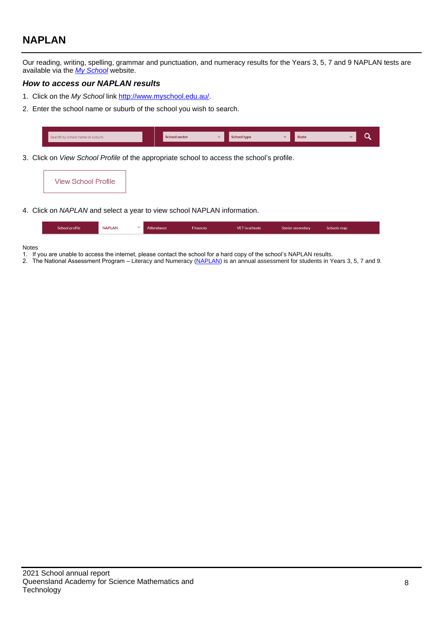# **NAPLAN**

Our reading, writing, spelling, grammar and punctuation, and numeracy results for the Years 3, 5, 7 and 9 NAPLAN tests are available via the [My School](http://www.myschool.edu.au/) website.

#### **How to access our NAPLAN results**

- 1. Click on the My School link <http://www.myschool.edu.au/>.
- 2. Enter the school name or suburb of the school you wish to search.

|     | Search by school name or suburb | School sector |     | <b>School type</b> |                      | <b>State</b> |  |
|-----|---------------------------------|---------------|-----|--------------------|----------------------|--------------|--|
| . . | $\cdots$                        | . .           | . . | .                  | $\cdots$<br>$\cdots$ |              |  |

3. Click on View School Profile of the appropriate school to access the school's profile.

| <b>View School Profile</b> |
|----------------------------|
|----------------------------|

4. Click on NAPLAN and select a year to view school NAPLAN information.

|  | School profile | <b>NAPLAN</b><br>$\sim$ 1 | Attendance | <b>Finances</b> | <b>VET</b> in schools | Senior secondary | Schools map |
|--|----------------|---------------------------|------------|-----------------|-----------------------|------------------|-------------|
|--|----------------|---------------------------|------------|-----------------|-----------------------|------------------|-------------|

#### Notes

- 1. If you are unable to access the internet, please contact the school for a hard copy of the school's NAPLAN results.
- 2. The National Assessment Program Literacy and Numeracy ([NAPLAN\)](http://www.nap.edu.au/naplan) is an annual assessment for students in Years 3, 5, 7 and 9.